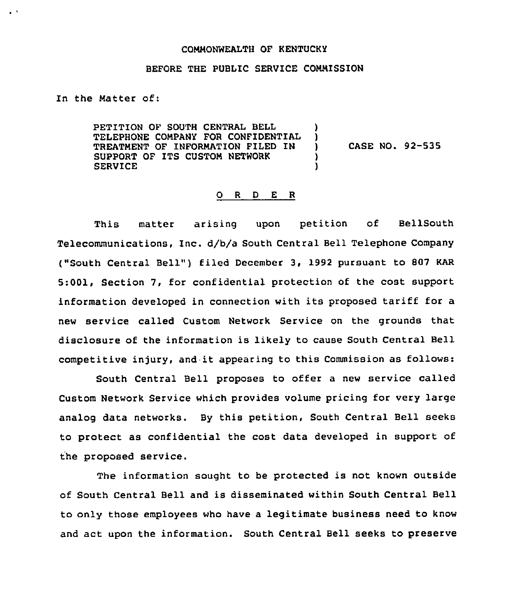## COMMONWEALTH OF KENTUCKY

## BEFORE THE PUBLIC SERVICE COMMISSION

In the Matter of:

 $\bullet$   $\Lambda$ 

PETITION OF SOUTH CENTRAL BELL TELEPHONE COMPANY FOR CONFIDENTIAL TREATMENT OF INFORMATION FILED IN SUPPORT OF ITS CUSTOM NETWORK SERVICE <u>)</u> ) ) CASE NO. 92-535 ) )

## 0 <sup>R</sup> <sup>D</sup> E <sup>R</sup>

This matter arising upon petition of BellSouth Telecommunications, Inc. d/b/a South Central Bell Telephone Company ("South Central Bell") filed December 3, 1992 pursuant to 807 KAR 5:001, Section 7, for confidential protection of the cost support information developed in connection with its proposed tariff for a new service called Custom Network Service on the grounds that disclosure of the information is likely to cause South Central Bell competitive injury, and it appearing to this Commission as follows:

South Central Bell proposes to offer <sup>a</sup> new service called Custom Network Service which provides volume pricing for very large analog data networks. By this petition, South Central Bell seeks to protect as confidential the cost data developed in support of the proposed service.

The information sought to be protected is not known outside of South Central Bell and is disseminated within South Central Bell to only those employees who have a legitimate business need to know and act upon the information. South Central Bell seeks to preserve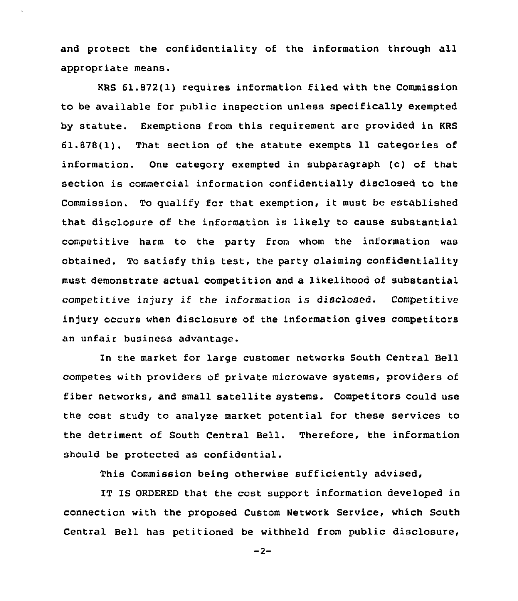and protect the confidentiality of the information through all appropriate means.

KRS 61.872(1) requires information filed with the Commission to be available for public inspection unless specifically exempted by statute. Exemptions from this requirement are provided in KRS 61.878(1). That section of the statute exempts 11 categories of information. One category exempted in subparagraph (c) of that section is commercial information confidentially disclosed to the Commission. To qualify for that exemption, it must be established that disclosure of the information is likely to cause substantial competitive harm to the party from whom the information was obtained. To satisfy this test, the party claiming confidentiality must demonstrate actual competition and a likelihood of substantial competitive injury if the information is disclosed. Competitive injury occurs when disclosure of the information gives competitors an unfair business advantage.

In the market for large customer networks South Central Bell competes with providers of private microwave systems, providers of fiber networks, and small satellite systems. Competitors could use the cost study to analyze market potential for these services to the detriment of South Central Bell. Therefore, the information should be protected as confidential.

This Commission being otherwise sufficiently advised,

IT IS ORDERED that the cost support information developed in connection with the proposed Custom Network Service, which South Central Bell has petitioned be withheld from public disclosure,

 $-2-$